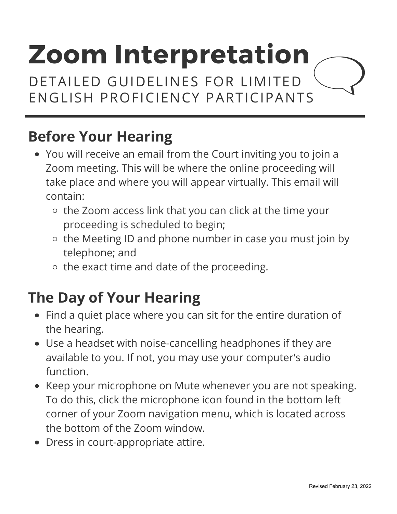DETAILED GUIDELINES FOR LIMITED ENGLISH PROFICIENCY PARTICIPANTS

### **Before Your Hearing**

- You will receive an email from the Court inviting you to join a Zoom meeting. This will be where the online proceeding will take place and where you will appear virtually. This email will contain:
	- $\circ$  the Zoom access link that you can click at the time your proceeding is scheduled to begin;
	- o the Meeting ID and phone number in case you must join by telephone; and
	- $\circ$  the exact time and date of the proceeding.

#### **The Day of Your Hearing**

- Find a quiet place where you can sit for the entire duration of the hearing.
- Use a headset with noise-cancelling headphones if they are available to you. If not, you may use your computer's audio function.
- Keep your microphone on Mute whenever you are not speaking. To do this, click the microphone icon found in the bottom left corner of your Zoom navigation menu, which is located across the bottom of the Zoom window.
- Dress in court-appropriate attire.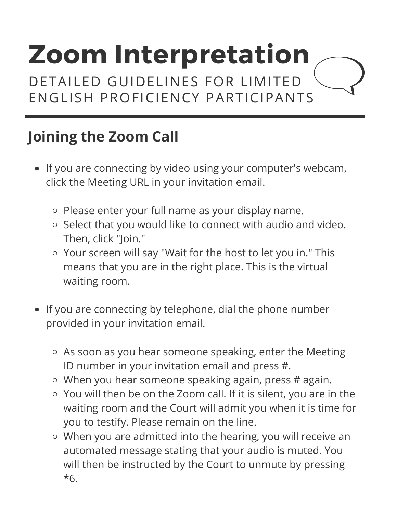DETAILED GUIDELINES FOR LIMITED ENGLISH PROFICIENCY PARTICIPANTS

## **Joining the Zoom Call**

- If you are connecting by video using your computer's webcam, click the Meeting URL in your invitation email.
	- o Please enter your full name as your display name.
	- o Select that you would like to connect with audio and video. Then, click "Join."
	- o Your screen will say "Wait for the host to let you in." This means that you are in the right place. This is the virtual waiting room.
- If you are connecting by telephone, dial the phone number provided in your invitation email.
	- As soon as you hear someone speaking, enter the Meeting ID number in your invitation email and press #.
	- $\circ$  When you hear someone speaking again, press # again.
	- You will then be on the Zoom call. If it is silent, you are in the waiting room and the Court will admit you when it is time for you to testify. Please remain on the line.
	- When you are admitted into the hearing, you will receive an automated message stating that your audio is muted. You will then be instructed by the Court to unmute by pressing \*6.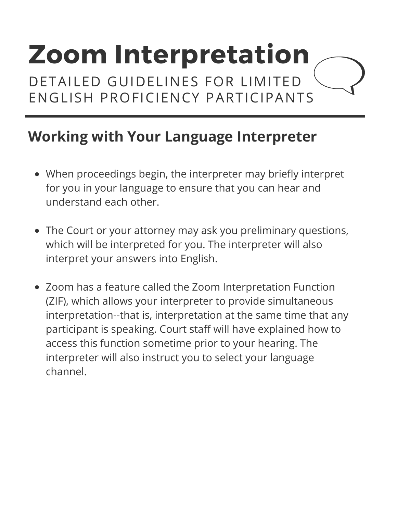DETAILED GUIDELINES FOR LIMITED ENGLISH PROFICIENCY PARTICIPANTS

#### **Working with Your Language Interpreter**

- When proceedings begin, the interpreter may briefly interpret for you in your language to ensure that you can hear and understand each other.
- The Court or your attorney may ask you preliminary questions, which will be interpreted for you. The interpreter will also interpret your answers into English.
- Zoom has a feature called the Zoom Interpretation Function (ZIF), which allows your interpreter to provide simultaneous interpretation--that is, interpretation at the same time that any participant is speaking. Court staff will have explained how to access this function sometime prior to your hearing. The interpreter will also instruct you to select your language channel.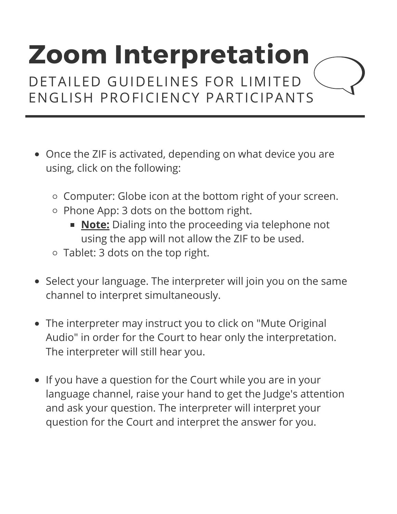DETAILED GUIDELINES FOR LIMITED ENGLISH PROFICIENCY PARTICIPANTS

- Once the ZIF is activated, depending on what device you are using, click on the following:
	- Computer: Globe icon at the bottom right of your screen.
	- o Phone App: 3 dots on the bottom right.
		- **Note:** Dialing into the proceeding via telephone not using the app will not allow the ZIF to be used.
	- Tablet: 3 dots on the top right.
- Select your language. The interpreter will join you on the same channel to interpret simultaneously.
- The interpreter may instruct you to click on "Mute Original Audio" in order for the Court to hear only the interpretation. The interpreter will still hear you.
- If you have a question for the Court while you are in your language channel, raise your hand to get the Judge's attention and ask your question. The interpreter will interpret your question for the Court and interpret the answer for you.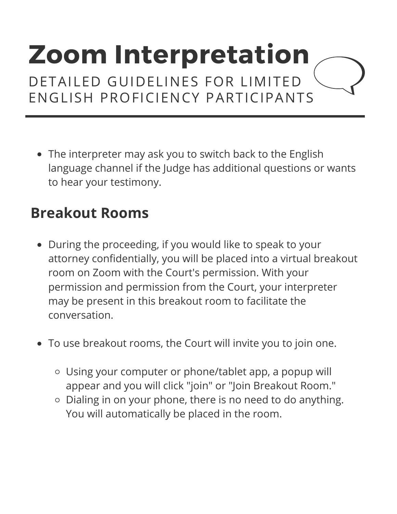DETAILED GUIDELINES FOR LIMITED ENGLISH PROFICIENCY PARTICIPANTS

• The interpreter may ask you to switch back to the English language channel if the Judge has additional questions or wants to hear your testimony.

### **Breakout Rooms**

- During the proceeding, if you would like to speak to your attorney confidentially, you will be placed into a virtual breakout room on Zoom with the Court's permission. With your permission and permission from the Court, your interpreter may be present in this breakout room to facilitate the conversation.
- To use breakout rooms, the Court will invite you to join one.
	- Using your computer or phone/tablet app, a popup will appear and you will click "join" or "Join Breakout Room."
	- Dialing in on your phone, there is no need to do anything. You will automatically be placed in the room.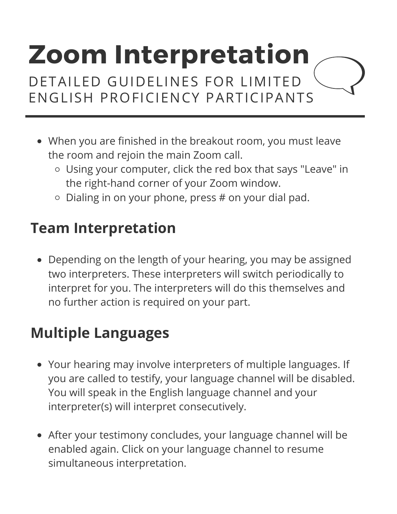DETAILED GUIDELINES FOR LIMITED ENGLISH PROFICIENCY PARTICIPANTS

- When you are finished in the breakout room, you must leave the room and rejoin the main Zoom call.
	- Using your computer, click the red box that says "Leave" in the right-hand corner of your Zoom window.
	- $\circ$  Dialing in on your phone, press # on your dial pad.

### **Team Interpretation**

Depending on the length of your hearing, you may be assigned two interpreters. These interpreters will switch periodically to interpret for you. The interpreters will do this themselves and no further action is required on your part.

#### **Multiple Languages**

- Your hearing may involve interpreters of multiple languages. If you are called to testify, your language channel will be disabled. You will speak in the English language channel and your interpreter(s) will interpret consecutively.
- After your testimony concludes, your language channel will be enabled again. Click on your language channel to resume simultaneous interpretation.